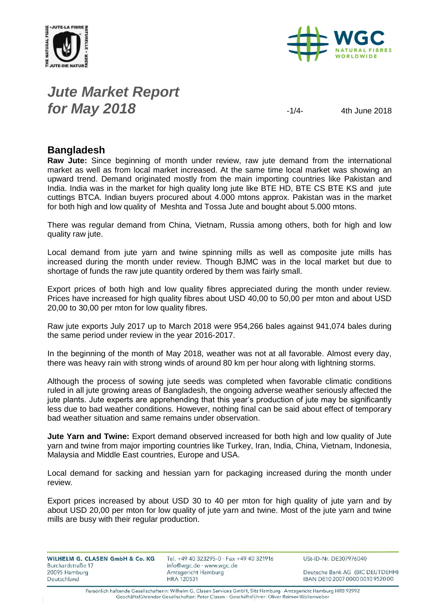



## *Jute Market Report* **for May 2018**  $\frac{1}{4}$   $\frac{4}{14}$   $\frac{4}{14}$   $\frac{4}{14}$   $\frac{1}{14}$   $\frac{4}{14}$   $\frac{1}{14}$   $\frac{1}{14}$   $\frac{1}{14}$   $\frac{1}{14}$   $\frac{1}{14}$   $\frac{1}{14}$   $\frac{1}{14}$   $\frac{1}{14}$   $\frac{1}{14}$   $\frac{1}{14}$   $\frac{1}{14}$   $\frac{1}{14}$   $\frac{1}{14}$

### **Bangladesh**

**Raw Jute:** Since beginning of month under review, raw jute demand from the international market as well as from local market increased. At the same time local market was showing an upward trend. Demand originated mostly from the main importing countries like Pakistan and India. India was in the market for high quality long jute like BTE HD, BTE CS BTE KS and jute cuttings BTCA. Indian buyers procured about 4.000 mtons approx. Pakistan was in the market for both high and low quality of Meshta and Tossa Jute and bought about 5.000 mtons.

There was regular demand from China, Vietnam, Russia among others, both for high and low quality raw jute.

Local demand from jute yarn and twine spinning mills as well as composite jute mills has increased during the month under review. Though BJMC was in the local market but due to shortage of funds the raw jute quantity ordered by them was fairly small.

Export prices of both high and low quality fibres appreciated during the month under review. Prices have increased for high quality fibres about USD 40,00 to 50,00 per mton and about USD 20,00 to 30,00 per mton for low quality fibres.

Raw jute exports July 2017 up to March 2018 were 954,266 bales against 941,074 bales during the same period under review in the year 2016-2017.

In the beginning of the month of May 2018, weather was not at all favorable. Almost every day, there was heavy rain with strong winds of around 80 km per hour along with lightning storms.

Although the process of sowing jute seeds was completed when favorable climatic conditions ruled in all jute growing areas of Bangladesh, the ongoing adverse weather seriously affected the jute plants. Jute experts are apprehending that this year's production of jute may be significantly less due to bad weather conditions. However, nothing final can be said about effect of temporary bad weather situation and same remains under observation.

**Jute Yarn and Twine:** Export demand observed increased for both high and low quality of Jute yarn and twine from major importing countries like Turkey, Iran, India, China, Vietnam, Indonesia, Malaysia and Middle East countries, Europe and USA.

Local demand for sacking and hessian yarn for packaging increased during the month under review.

Export prices increased by about USD 30 to 40 per mton for high quality of jute yarn and by about USD 20,00 per mton for low quality of jute yarn and twine. Most of the jute yarn and twine mills are busy with their regular production.

| WILHELM G. CLASEN GmbH & Co. KG<br>Burchardstraße 17 | Tel. +49 40 323295-0 $\cdot$ Fax +49 40 321916<br>info@wgc.de · www.wgc.de | USt-ID-Nr. DE307976040           |  |  |
|------------------------------------------------------|----------------------------------------------------------------------------|----------------------------------|--|--|
| 20095 Hamburg                                        | Amtsgericht Hamburg                                                        | Deutsche Bank AG (BIC DEUTDEHH)  |  |  |
| Deutschland                                          | <b>HRA 120531</b>                                                          | IBAN DE10 2007 0000 0010 9520 00 |  |  |

Persönlich haftende Gesellschafterin: Wilhelm G. Clasen Services GmbH, Sitz Hamburg · Amtsgericht Hamburg HRB 92992 Geschäftsführender Gesellschafter: Peter Clasen · Geschäftsführer: Oliver Reimer-Wollenweber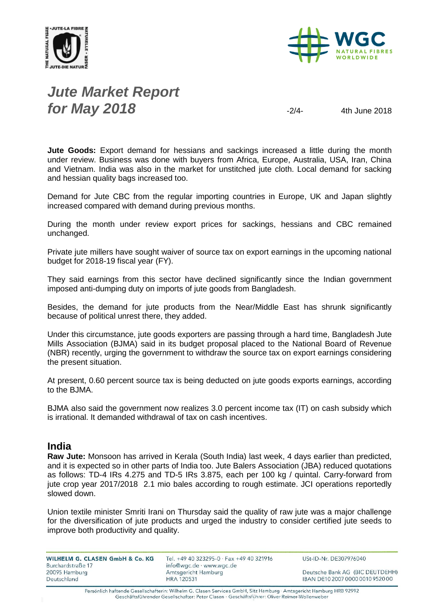



## *Jute Market Report* **for May 2018**  $-2/4$ - 4th June 2018

**Jute Goods:** Export demand for hessians and sackings increased a little during the month under review. Business was done with buyers from Africa, Europe, Australia, USA, Iran, China and Vietnam. India was also in the market for unstitched jute cloth. Local demand for sacking and hessian quality bags increased too.

Demand for Jute CBC from the regular importing countries in Europe, UK and Japan slightly increased compared with demand during previous months.

During the month under review export prices for sackings, hessians and CBC remained unchanged.

Private jute millers have sought waiver of source tax on export earnings in the upcoming national budget for 2018-19 fiscal year (FY).

They said earnings from this sector have declined significantly since the Indian government imposed anti-dumping duty on imports of jute goods from Bangladesh.

Besides, the demand for jute products from the Near/Middle East has shrunk significantly because of political unrest there, they added.

Under this circumstance, jute goods exporters are passing through a hard time, Bangladesh Jute Mills Association (BJMA) said in its budget proposal placed to the National Board of Revenue (NBR) recently, urging the government to withdraw the source tax on export earnings considering the present situation.

At present, 0.60 percent source tax is being deducted on jute goods exports earnings, according to the BJMA.

BJMA also said the government now realizes 3.0 percent income tax (IT) on cash subsidy which is irrational. It demanded withdrawal of tax on cash incentives.

#### **India**

**Raw Jute:** Monsoon has arrived in Kerala (South India) last week, 4 days earlier than predicted, and it is expected so in other parts of India too. Jute Balers Association (JBA) reduced quotations as follows: TD-4 IRs 4.275 and TD-5 IRs 3.875, each per 100 kg / quintal. Carry-forward from jute crop year 2017/2018 2.1 mio bales according to rough estimate. JCI operations reportedly slowed down.

Union textile minister Smriti Irani on Thursday said the quality of raw jute was a major challenge for the diversification of jute products and urged the industry to consider certified jute seeds to improve both productivity and quality.

| WILHELM G. CLASEN GmbH & Co. KG | Tel. +49 40 323295-0 · Fax +49 40 321916 | USt-ID-Nr. DE307976040           |  |  |
|---------------------------------|------------------------------------------|----------------------------------|--|--|
| Burchardstraße 17               | info@wgc.de · www.wgc.de                 |                                  |  |  |
| 20095 Hamburg                   | Amtsgericht Hamburg                      | Deutsche Bank AG (BIC DEUTDEHH)  |  |  |
| Deutschland                     | HRA 120531                               | IBAN DE10 2007 0000 0010 9520 00 |  |  |

Persönlich haftende Gesellschafterin: Wilhelm G. Clasen Services GmbH, Sitz Hamburg · Amtsgericht Hamburg HRB 92992 Geschäftsführender Gesellschafter: Peter Clasen · Geschäftsführer: Oliver Reimer-Wollenweber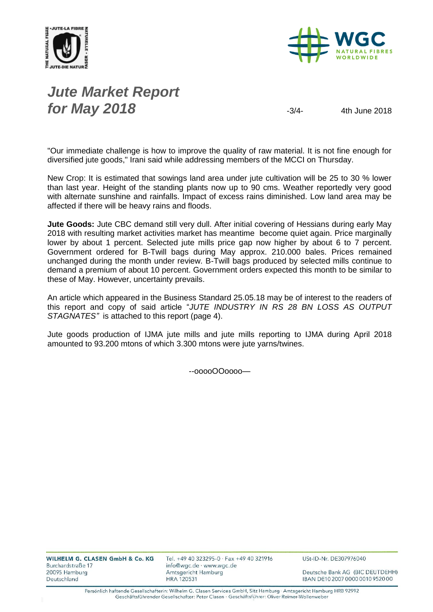



# *Jute Market Report* **for May 2018**  $-3/4$ - 4th June 2018

"Our immediate challenge is how to improve the quality of raw material. It is not fine enough for diversified jute goods," Irani said while addressing members of the MCCI on Thursday.

New Crop: It is estimated that sowings land area under jute cultivation will be 25 to 30 % lower than last year. Height of the standing plants now up to 90 cms. Weather reportedly very good with alternate sunshine and rainfalls. Impact of excess rains diminished. Low land area may be affected if there will be heavy rains and floods.

**Jute Goods:** Jute CBC demand still very dull. After initial covering of Hessians during early May 2018 with resulting market activities market has meantime become quiet again. Price marginally lower by about 1 percent. Selected jute mills price gap now higher by about 6 to 7 percent. Government ordered for B-Twill bags during May approx. 210.000 bales. Prices remained unchanged during the month under review. B-Twill bags produced by selected mills continue to demand a premium of about 10 percent. Government orders expected this month to be similar to these of May. However, uncertainty prevails.

An article which appeared in the Business Standard 25.05.18 may be of interest to the readers of this report and copy of said article "*JUTE INDUSTRY IN RS 28 BN LOSS AS OUTPUT STAGNATES"* is attached to this report (page 4).

Jute goods production of IJMA jute mills and jute mills reporting to IJMA during April 2018 amounted to 93.200 mtons of which 3.300 mtons were jute yarns/twines.

--ooooOOoooo—

Deutsche Bank AG (BIC DEUTDEHH) IBAN DE10 2007 0000 0010 9520 00